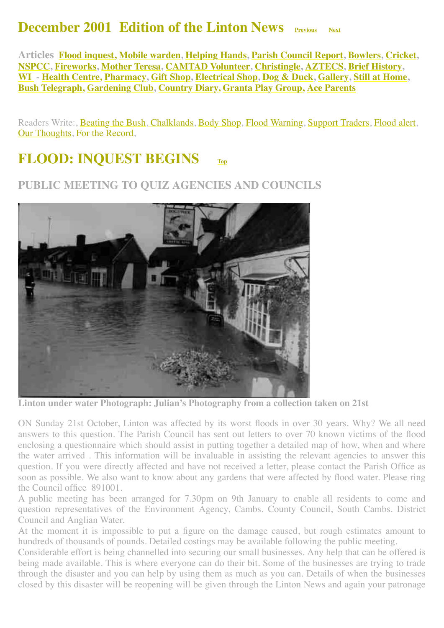#### **December 2001 Edition of the Linton News Previous** [Next](http://www.linton.info/lintonnews/0201.html)

<span id="page-0-1"></span>**Articles [Flood inquest,](#page-0-0) [Mobile warden](#page-1-0), [Helping Hands,](#page-1-1) [Parish Council Report](#page-2-0), [Bowlers,](#page-2-1) [Cricket](#page-2-2), [NSPCC](#page-2-3), [Fireworks](#page-3-0), [Mother Teresa,](#page-3-1) [CAMTAD Volunteer](#page-3-2), [Christingle,](#page-4-0) [AZTECS,](#page-4-1) [Brief History](#page-4-2), [WI](#page-4-3) - [Health Centre,](#page-8-0) [Pharmacy](#page-9-0), [Gift Shop,](#page-9-1) [Electrical Shop,](#page-9-2) [Dog & Duck](#page-10-0), [Gallery,](#page-11-0) [Still at Home](http://www.linton.info/lintonnews/0112.html#home:%20%E2%80%98we%E2%80%99ll), [Bush Telegraph,](#page-12-0) [Gardening Club](#page-12-1), [Country Diary,](#page-12-2) [Granta Play Group,](#page-13-0) [Ace Parents](#page-13-1)**

Readers Write:, [Beating the Bush,](#page-4-4) [Chalklands,](#page-5-0) [Body Shop](#page-5-1), [Flood Warning,](#page-5-2) [Support Traders](#page-6-0), [Flood alert,](#page-6-1) [Our Thoughts,](#page-7-0) [For the Record](#page-7-1),

#### <span id="page-0-0"></span>**FLOOD: INQUEST BEGINS [Top](#page-0-1)**

#### **PUBLIC MEETING TO QUIZ AGENCIES AND COUNCILS**



**Linton under water Photograph: Julian's Photography from a collection taken on 21st**

ON Sunday 21st October, Linton was affected by its worst floods in over 30 years. Why? We all need answers to this question. The Parish Council has sent out letters to over 70 known victims of the flood enclosing a questionnaire which should assist in putting together a detailed map of how, when and where the water arrived . This information will be invaluable in assisting the relevant agencies to answer this question. If you were directly affected and have not received a letter, please contact the Parish Office as soon as possible. We also want to know about any gardens that were affected by flood water. Please ring the Council office 891001.

A public meeting has been arranged for 7.30pm on 9th January to enable all residents to come and question representatives of the Environment Agency, Cambs. County Council, South Cambs. District Council and Anglian Water.

At the moment it is impossible to put a figure on the damage caused, but rough estimates amount to hundreds of thousands of pounds. Detailed costings may be available following the public meeting.

Considerable effort is being channelled into securing our small businesses. Any help that can be offered is being made available. This is where everyone can do their bit. Some of the businesses are trying to trade through the disaster and you can help by using them as much as you can. Details of when the businesses closed by this disaster will be reopening will be given through the Linton News and again your patronage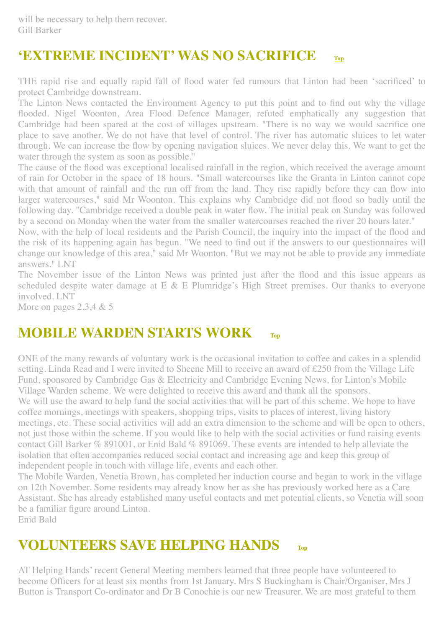# **'EXTREME INCIDENT' WAS NO SACRIFICE [Top](#page-0-1)**

THE rapid rise and equally rapid fall of flood water fed rumours that Linton had been 'sacrificed' to protect Cambridge downstream.

The Linton News contacted the Environment Agency to put this point and to find out why the village flooded. Nigel Woonton, Area Flood Defence Manager, refuted emphatically any suggestion that Cambridge had been spared at the cost of villages upstream. "There is no way we would sacrifice one place to save another. We do not have that level of control. The river has automatic sluices to let water through. We can increase the flow by opening navigation sluices. We never delay this. We want to get the water through the system as soon as possible."

The cause of the flood was exceptional localised rainfall in the region, which received the average amount of rain for October in the space of 18 hours. "Small watercourses like the Granta in Linton cannot cope with that amount of rainfall and the run off from the land. They rise rapidly before they can flow into larger watercourses," said Mr Woonton. This explains why Cambridge did not flood so badly until the following day. "Cambridge received a double peak in water flow. The initial peak on Sunday was followed by a second on Monday when the water from the smaller watercourses reached the river 20 hours later."

Now, with the help of local residents and the Parish Council, the inquiry into the impact of the flood and the risk of its happening again has begun. "We need to find out if the answers to our questionnaires will change our knowledge of this area," said Mr Woonton. "But we may not be able to provide any immediate answers." LNT

The November issue of the Linton News was printed just after the flood and this issue appears as scheduled despite water damage at E & E Plumridge's High Street premises. Our thanks to everyone involved. LNT

More on pages 2,3,4 & 5

#### <span id="page-1-0"></span>**MOBILE WARDEN STARTS WORK FOD**

ONE of the many rewards of voluntary work is the occasional invitation to coffee and cakes in a splendid setting. Linda Read and I were invited to Sheene Mill to receive an award of £250 from the Village Life Fund, sponsored by Cambridge Gas & Electricity and Cambridge Evening News, for Linton's Mobile Village Warden scheme. We were delighted to receive this award and thank all the sponsors. We will use the award to help fund the social activities that will be part of this scheme. We hope to have coffee mornings, meetings with speakers, shopping trips, visits to places of interest, living history meetings, etc. These social activities will add an extra dimension to the scheme and will be open to others, not just those within the scheme. If you would like to help with the social activities or fund raising events contact Gill Barker % 891001, or Enid Bald % 891069. These events are intended to help alleviate the isolation that often accompanies reduced social contact and increasing age and keep this group of independent people in touch with village life, events and each other.

The Mobile Warden, Venetia Brown, has completed her induction course and began to work in the village on 12th November. Some residents may already know her as she has previously worked here as a Care Assistant. She has already established many useful contacts and met potential clients, so Venetia will soon be a familiar figure around Linton.

Enid Bald

# <span id="page-1-1"></span>**VOLUNTEERS SAVE HELPING HANDS [Top](#page-0-1)**

AT Helping Hands' recent General Meeting members learned that three people have volunteered to become Officers for at least six months from 1st January. Mrs S Buckingham is Chair/Organiser, Mrs J Button is Transport Co-ordinator and Dr B Conochie is our new Treasurer. We are most grateful to them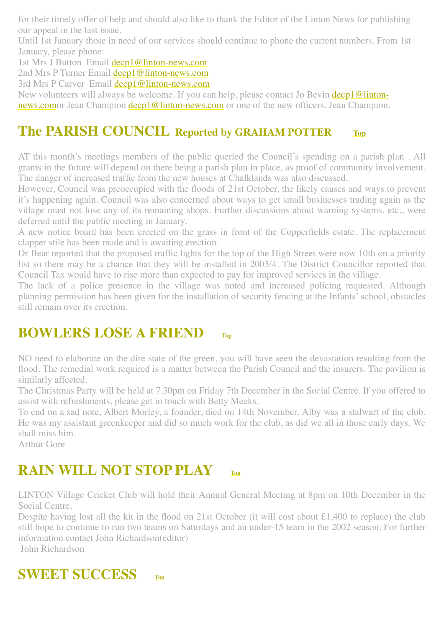for their timely offer of help and should also like to thank the Editor of the Linton News for publishing our appeal in the last issue.

Until 1st January those in need of our services should continue to phone the current numbers. From 1st January, please phone:

1st Mrs J Button Email [decp1@linton-news.com](mailto:decp1@linton-news.com)

2nd Mrs P Turner Email [decp1@linton-news.com](mailto:decp1@linton-news.com)

3rd Mrs P Carver Email [decp1@linton-news.com](mailto:decp1@linton-news.com)

New volunteers will always be welcome. If you can help, please contact Jo Bevin decp1@linton[news.comor Jean Champion decp1@linton-news.com or one of the new officers. Jean Champion.](mailto:decp1@linton-news.com)

#### <span id="page-2-0"></span>**The PARISH COUNCIL Reported by GRAHAM POTTER [Top](#page-0-1)**

AT this month's meetings members of the public queried the Council's spending on a parish plan . All grants in the future will depend on there being a parish plan in place, as proof of community involvement. The danger of increased traffic from the new houses at Chalklands was also discussed.

However, Council was preoccupied with the floods of 21st October, the likely causes and ways to prevent it's happening again. Council was also concerned about ways to get small businesses trading again as the village must not lose any of its remaining shops. Further discussions about warning systems, etc., were deferred until the public meeting in January.

A new notice board has been erected on the grass in front of the Copperfields estate. The replacement clapper stile has been made and is awaiting erection.

Dr Bear reported that the proposed traffic lights for the top of the High Street were now 10th on a priority list so there may be a chance that they will be installed in 2003/4. The District Councillor reported that Council Tax would have to rise more than expected to pay for improved services in the village.

The lack of a police presence in the village was noted and increased policing requested. Although planning permission has been given for the installation of security fencing at the Infants' school, obstacles still remain over its erection.

#### <span id="page-2-1"></span>**BOWLERS LOSE A FRIEND**

NO need to elaborate on the dire state of the green, you will have seen the devastation resulting from the flood. The remedial work required is a matter between the Parish Council and the insurers. The pavilion is similarly affected.

The Christmas Party will be held at 7.30pm on Friday 7th December in the Social Centre. If you offered to assist with refreshments, please get in touch with Betty Meeks.

To end on a sad note, Albert Morley, a founder, died on 14th November. Alby was a stalwart of the club. He was my assistant greenkeeper and did so much work for the club, as did we all in those early days. We shall miss him.

Arthur Gore

# <span id="page-2-2"></span>**RAIN WILL NOT STOP PLAY**

LINTON Village Cricket Club will hold their Annual General Meeting at 8pm on 10th December in the Social Centre.

Despite having lost all the kit in the flood on 21st October (it will cost about £1,400 to replace) the club still hope to continue to run two teams on Saturdays and an under-15 team in the 2002 season. For further information contact John Richardson(editor)

John Richardson

# <span id="page-2-3"></span>**SWEET SUCCESS [Top](#page-0-1)**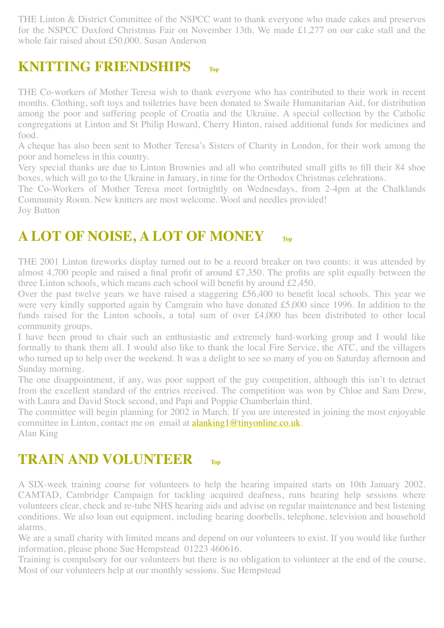THE Linton & District Committee of the NSPCC want to thank everyone who made cakes and preserves for the NSPCC Duxford Christmas Fair on November 13th. We made £1,277 on our cake stall and the whole fair raised about £50,000. Susan Anderson

#### <span id="page-3-1"></span>**KNITTING FRIENDSHIPS**

THE Co-workers of Mother Teresa wish to thank everyone who has contributed to their work in recent months. Clothing, soft toys and toiletries have been donated to Swaile Humanitarian Aid, for distribution among the poor and suffering people of Croatia and the Ukraine. A special collection by the Catholic congregations at Linton and St Philip Howard, Cherry Hinton, raised additional funds for medicines and food.

A cheque has also been sent to Mother Teresa's Sisters of Charity in London, for their work among the poor and homeless in this country.

Very special thanks are due to Linton Brownies and all who contributed small gifts to fill their 84 shoe boxes, which will go to the Ukraine in January, in time for the Orthodox Christmas celebrations.

The Co-Workers of Mother Teresa meet fortnightly on Wednesdays, from 2-4pm at the Chalklands Community Room. New knitters are most welcome. Wool and needles provided!

Joy Button

#### <span id="page-3-0"></span>**A LOT OF NOISE, A LOT OF MONEY [Top](#page-0-1)**

THE 2001 Linton fireworks display turned out to be a record breaker on two counts: it was attended by almost 4,700 people and raised a final profit of around £7,350. The profits are split equally between the three Linton schools, which means each school will benefit by around £2,450.

Over the past twelve years we have raised a staggering £56,400 to benefit local schools. This year we were very kindly supported again by Camgrain who have donated £5,000 since 1996. In addition to the funds raised for the Linton schools, a total sum of over £4,000 has been distributed to other local community groups.

I have been proud to chair such an enthusiastic and extremely hard-working group and I would like formally to thank them all. I would also like to thank the local Fire Service, the ATC, and the villagers who turned up to help over the weekend. It was a delight to see so many of you on Saturday afternoon and Sunday morning.

The one disappointment, if any, was poor support of the guy competition, although this isn't to detract from the excellent standard of the entries received. The competition was won by Chloe and Sam Drew, with Laura and David Stock second, and Papi and Poppie Chamberlain third.

The committee will begin planning for 2002 in March. If you are interested in joining the most enjoyable committee in Linton, contact me on email at **[alanking1@tinyonline.co.uk](mailto:alanking1@tinyonline.co.uk).** Alan King

#### <span id="page-3-2"></span>**TRAIN AND VOLUNTEER [Top](#page-0-1)**

A SIX-week training course for volunteers to help the hearing impaired starts on 10th January 2002. CAMTAD, Cambridge Campaign for tackling acquired deafness, runs hearing help sessions where volunteers clear, check and re-tube NHS hearing aids and advise on regular maintenance and best listening conditions. We also loan out equipment, including hearing doorbells, telephone, television and household alarms.

We are a small charity with limited means and depend on our volunteers to exist. If you would like further information, please phone Sue Hempstead 01223 460616.

Training is compulsory for our volunteers but there is no obligation to volunteer at the end of the course. Most of our volunteers help at our monthly sessions. Sue Hempstead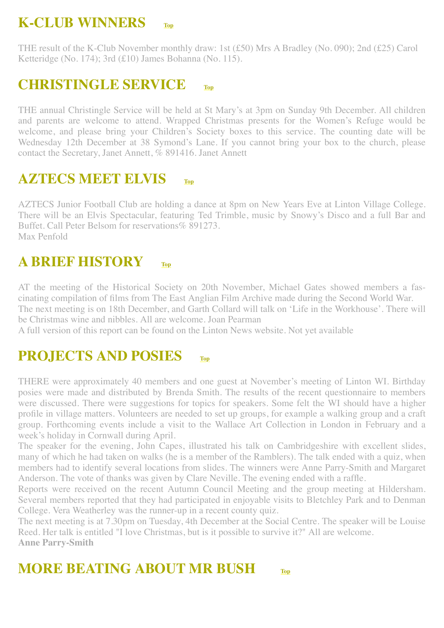# **K-CLUB WINNERS [Top](#page-0-1)**

THE result of the K-Club November monthly draw: 1st (£50) Mrs A Bradley (No. 090); 2nd (£25) Carol Ketteridge (No. 174); 3rd (£10) James Bohanna (No. 115).

#### <span id="page-4-0"></span>**CHRISTINGLE SERVICE [Top](#page-0-1)**

THE annual Christingle Service will be held at St Mary's at 3pm on Sunday 9th December. All children and parents are welcome to attend. Wrapped Christmas presents for the Women's Refuge would be welcome, and please bring your Children's Society boxes to this service. The counting date will be Wednesday 12th December at 38 Symond's Lane. If you cannot bring your box to the church, please contact the Secretary, Janet Annett, % 891416. Janet Annett

# <span id="page-4-1"></span>**AZTECS MEET ELVIS [Top](#page-0-1)**

AZTECS Junior Football Club are holding a dance at 8pm on New Years Eve at Linton Village College. There will be an Elvis Spectacular, featuring Ted Trimble, music by Snowy's Disco and a full Bar and Buffet. Call Peter Belsom for reservations% 891273. Max Penfold

## <span id="page-4-2"></span>**A BRIEF HISTORY [Top](#page-0-1)**

AT the meeting of the Historical Society on 20th November, Michael Gates showed members a fascinating compilation of films from The East Anglian Film Archive made during the Second World War. The next meeting is on 18th December, and Garth Collard will talk on 'Life in the Workhouse'. There will be Christmas wine and nibbles. All are welcome. Joan Pearman

A full version of this report can be found on the Linton News website. Not yet available

## <span id="page-4-3"></span>**PROJECTS AND POSIES [Top](#page-0-1)**

THERE were approximately 40 members and one guest at November's meeting of Linton WI. Birthday posies were made and distributed by Brenda Smith. The results of the recent questionnaire to members were discussed. There were suggestions for topics for speakers. Some felt the WI should have a higher profile in village matters. Volunteers are needed to set up groups, for example a walking group and a craft group. Forthcoming events include a visit to the Wallace Art Collection in London in February and a week's holiday in Cornwall during April.

The speaker for the evening, John Capes, illustrated his talk on Cambridgeshire with excellent slides, many of which he had taken on walks (he is a member of the Ramblers). The talk ended with a quiz, when members had to identify several locations from slides. The winners were Anne Parry-Smith and Margaret Anderson. The vote of thanks was given by Clare Neville. The evening ended with a raffle.

Reports were received on the recent Autumn Council Meeting and the group meeting at Hildersham. Several members reported that they had participated in enjoyable visits to Bletchley Park and to Denman College. Vera Weatherley was the runner-up in a recent county quiz.

The next meeting is at 7.30pm on Tuesday, 4th December at the Social Centre. The speaker will be Louise Reed. Her talk is entitled "I love Christmas, but is it possible to survive it?" All are welcome. **Anne Parry-Smith**

## <span id="page-4-4"></span>**MORE BEATING ABOUT MR BUSH [Top](#page-0-1)**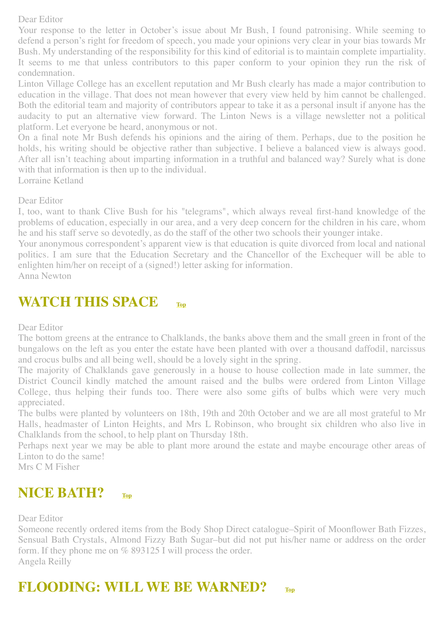#### Dear Editor

Your response to the letter in October's issue about Mr Bush, I found patronising. While seeming to defend a person's right for freedom of speech, you made your opinions very clear in your bias towards Mr Bush. My understanding of the responsibility for this kind of editorial is to maintain complete impartiality. It seems to me that unless contributors to this paper conform to your opinion they run the risk of condemnation.

Linton Village College has an excellent reputation and Mr Bush clearly has made a major contribution to education in the village. That does not mean however that every view held by him cannot be challenged. Both the editorial team and majority of contributors appear to take it as a personal insult if anyone has the audacity to put an alternative view forward. The Linton News is a village newsletter not a political platform. Let everyone be heard, anonymous or not.

On a final note Mr Bush defends his opinions and the airing of them. Perhaps, due to the position he holds, his writing should be objective rather than subjective. I believe a balanced view is always good. After all isn't teaching about imparting information in a truthful and balanced way? Surely what is done with that information is then up to the individual.

Lorraine Ketland

Dear Editor

I, too, want to thank Clive Bush for his "telegrams", which always reveal first-hand knowledge of the problems of education, especially in our area, and a very deep concern for the children in his care, whom he and his staff serve so devotedly, as do the staff of the other two schools their younger intake.

Your anonymous correspondent's apparent view is that education is quite divorced from local and national politics. I am sure that the Education Secretary and the Chancellor of the Exchequer will be able to enlighten him/her on receipt of a (signed!) letter asking for information.

Anna Newton

#### <span id="page-5-0"></span>**WATCH THIS SPACE [Top](#page-0-1)**

Dear Editor

The bottom greens at the entrance to Chalklands, the banks above them and the small green in front of the bungalows on the left as you enter the estate have been planted with over a thousand daffodil, narcissus and crocus bulbs and all being well, should be a lovely sight in the spring.

The majority of Chalklands gave generously in a house to house collection made in late summer, the District Council kindly matched the amount raised and the bulbs were ordered from Linton Village College, thus helping their funds too. There were also some gifts of bulbs which were very much appreciated.

The bulbs were planted by volunteers on 18th, 19th and 20th October and we are all most grateful to Mr Halls, headmaster of Linton Heights, and Mrs L Robinson, who brought six children who also live in Chalklands from the school, to help plant on Thursday 18th.

Perhaps next year we may be able to plant more around the estate and maybe encourage other areas of Linton to do the same!

Mrs C M Fisher

#### <span id="page-5-1"></span>**NICE BATH? [Top](#page-0-1)**

Dear Editor

Someone recently ordered items from the Body Shop Direct catalogue–Spirit of Moonflower Bath Fizzes, Sensual Bath Crystals, Almond Fizzy Bath Sugar–but did not put his/her name or address on the order form. If they phone me on % 893125 I will process the order. Angela Reilly

## <span id="page-5-2"></span>**FLOODING: WILL WE BE WARNED? [Top](#page-0-1)**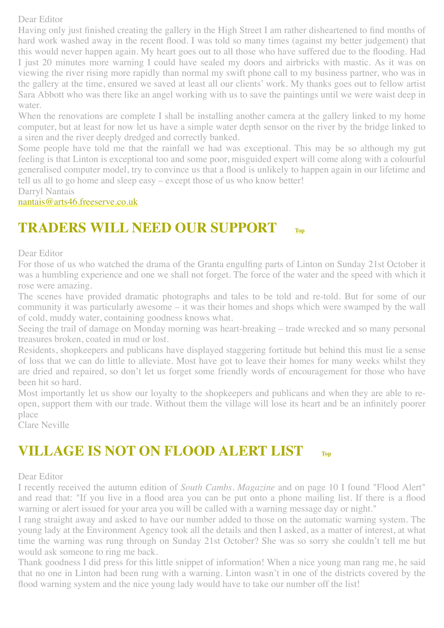#### Dear Editor

Having only just finished creating the gallery in the High Street I am rather disheartened to find months of hard work washed away in the recent flood. I was told so many times (against my better judgement) that this would never happen again. My heart goes out to all those who have suffered due to the flooding. Had I just 20 minutes more warning I could have sealed my doors and airbricks with mastic. As it was on viewing the river rising more rapidly than normal my swift phone call to my business partner, who was in the gallery at the time, ensured we saved at least all our clients' work. My thanks goes out to fellow artist Sara Abbott who was there like an angel working with us to save the paintings until we were waist deep in water.

When the renovations are complete I shall be installing another camera at the gallery linked to my home computer, but at least for now let us have a simple water depth sensor on the river by the bridge linked to a siren and the river deeply dredged and correctly banked.

Some people have told me that the rainfall we had was exceptional. This may be so although my gut feeling is that Linton is exceptional too and some poor, misguided expert will come along with a colourful generalised computer model, try to convince us that a flood is unlikely to happen again in our lifetime and tell us all to go home and sleep easy – except those of us who know better!

Darryl Nantais

[nantais@arts46.freeserve.co.uk](mailto:nantais@arts46.freeserve.co.uk)

## <span id="page-6-0"></span>**TRADERS WILL NEED OUR SUPPORT [Top](#page-0-1)**

Dear Editor

For those of us who watched the drama of the Granta engulfing parts of Linton on Sunday 21st October it was a humbling experience and one we shall not forget. The force of the water and the speed with which it rose were amazing.

The scenes have provided dramatic photographs and tales to be told and re-told. But for some of our community it was particularly awesome – it was their homes and shops which were swamped by the wall of cold, muddy water, containing goodness knows what.

Seeing the trail of damage on Monday morning was heart-breaking – trade wrecked and so many personal treasures broken, coated in mud or lost.

Residents, shopkeepers and publicans have displayed staggering fortitude but behind this must lie a sense of loss that we can do little to alleviate. Most have got to leave their homes for many weeks whilst they are dried and repaired, so don't let us forget some friendly words of encouragement for those who have been hit so hard.

Most importantly let us show our loyalty to the shopkeepers and publicans and when they are able to reopen, support them with our trade. Without them the village will lose its heart and be an infinitely poorer place

Clare Neville

#### <span id="page-6-1"></span>**VILLAGE IS NOT ON FLOOD ALERT LIST [Top](#page-0-1)**

#### Dear Editor

I recently received the autumn edition of *South Cambs. Magazine* and on page 10 I found "Flood Alert" and read that: "If you live in a flood area you can be put onto a phone mailing list. If there is a flood warning or alert issued for your area you will be called with a warning message day or night."

I rang straight away and asked to have our number added to those on the automatic warning system. The young lady at the Environment Agency took all the details and then I asked, as a matter of interest, at what time the warning was rung through on Sunday 21st October? She was so sorry she couldn't tell me but would ask someone to ring me back.

Thank goodness I did press for this little snippet of information! When a nice young man rang me, he said that no one in Linton had been rung with a warning. Linton wasn't in one of the districts covered by the flood warning system and the nice young lady would have to take our number off the list!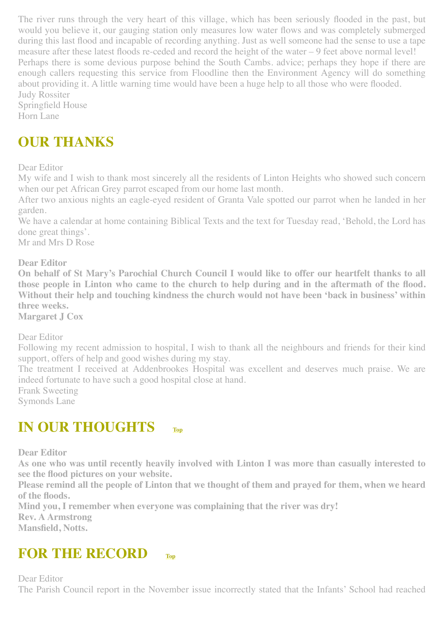The river runs through the very heart of this village, which has been seriously flooded in the past, but would you believe it, our gauging station only measures low water flows and was completely submerged during this last flood and incapable of recording anything. Just as well someone had the sense to use a tape measure after these latest floods re-ceded and record the height of the water – 9 feet above normal level! Perhaps there is some devious purpose behind the South Cambs. advice; perhaps they hope if there are enough callers requesting this service from Floodline then the Environment Agency will do something about providing it. A little warning time would have been a huge help to all those who were flooded. Judy Rossiter

Springfield House Horn Lane

# **OUR THANKS**

Dear Editor

My wife and I wish to thank most sincerely all the residents of Linton Heights who showed such concern when our pet African Grey parrot escaped from our home last month.

After two anxious nights an eagle-eyed resident of Granta Vale spotted our parrot when he landed in her garden.

We have a calendar at home containing Biblical Texts and the text for Tuesday read, 'Behold, the Lord has done great things'.

Mr and Mrs D Rose

**Dear Editor**

**On behalf of St Mary's Parochial Church Council I would like to offer our heartfelt thanks to all those people in Linton who came to the church to help during and in the aftermath of the flood. Without their help and touching kindness the church would not have been 'back in business' within three weeks.**

**Margaret J Cox**

Dear Editor

Following my recent admission to hospital, I wish to thank all the neighbours and friends for their kind support, offers of help and good wishes during my stay.

The treatment I received at Addenbrookes Hospital was excellent and deserves much praise. We are indeed fortunate to have such a good hospital close at hand.

Frank Sweeting

Symonds Lane

#### <span id="page-7-0"></span>**IN OUR THOUGHTS [Top](#page-0-1)**

**Dear Editor**

**As one who was until recently heavily involved with Linton I was more than casually interested to see the flood pictures on your website.**

**Please remind all the people of Linton that we thought of them and prayed for them, when we heard of the floods.**

**Mind you, I remember when everyone was complaining that the river was dry!**

**Rev. A Armstrong**

**Mansfield, Notts.**

#### <span id="page-7-1"></span>**FOR THE RECORD [Top](#page-0-1)**

Dear Editor The Parish Council report in the November issue incorrectly stated that the Infants' School had reached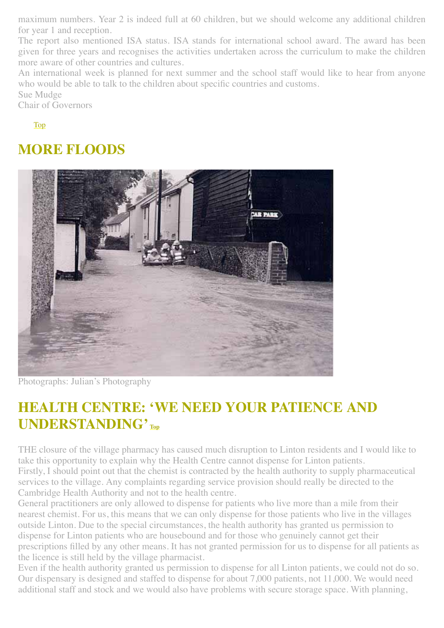maximum numbers. Year 2 is indeed full at 60 children, but we should welcome any additional children for year 1 and reception.

The report also mentioned ISA status. ISA stands for international school award. The award has been given for three years and recognises the activities undertaken across the curriculum to make the children more aware of other countries and cultures.

An international week is planned for next summer and the school staff would like to hear from anyone who would be able to talk to the children about specific countries and customs.

Sue Mudge

Chair of Governors

[Top](#page-0-1)

#### **MORE FLOODS**



Photographs: Julian's Photography

# <span id="page-8-0"></span>**HEALTH CENTRE: 'WE NEED YOUR PATIENCE AND UNDERSTANDING' [Top](#page-0-1)**

THE closure of the village pharmacy has caused much disruption to Linton residents and I would like to take this opportunity to explain why the Health Centre cannot dispense for Linton patients. Firstly, I should point out that the chemist is contracted by the health authority to supply pharmaceutical services to the village. Any complaints regarding service provision should really be directed to the Cambridge Health Authority and not to the health centre.

General practitioners are only allowed to dispense for patients who live more than a mile from their nearest chemist. For us, this means that we can only dispense for those patients who live in the villages outside Linton. Due to the special circumstances, the health authority has granted us permission to dispense for Linton patients who are housebound and for those who genuinely cannot get their prescriptions filled by any other means. It has not granted permission for us to dispense for all patients as the licence is still held by the village pharmacist.

Even if the health authority granted us permission to dispense for all Linton patients, we could not do so. Our dispensary is designed and staffed to dispense for about 7,000 patients, not 11,000. We would need additional staff and stock and we would also have problems with secure storage space. With planning,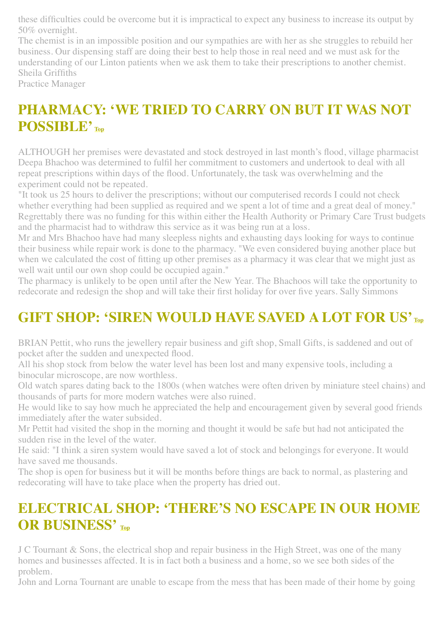these difficulties could be overcome but it is impractical to expect any business to increase its output by 50% overnight.

The chemist is in an impossible position and our sympathies are with her as she struggles to rebuild her business. Our dispensing staff are doing their best to help those in real need and we must ask for the understanding of our Linton patients when we ask them to take their prescriptions to another chemist. Sheila Griffiths

Practice Manager

# <span id="page-9-0"></span>**PHARMACY: 'WE TRIED TO CARRY ON BUT IT WAS NOT POSSIBLE' [Top](#page-0-1)**

ALTHOUGH her premises were devastated and stock destroyed in last month's flood, village pharmacist Deepa Bhachoo was determined to fulfil her commitment to customers and undertook to deal with all repeat prescriptions within days of the flood. Unfortunately, the task was overwhelming and the experiment could not be repeated.

"It took us 25 hours to deliver the prescriptions; without our computerised records I could not check whether everything had been supplied as required and we spent a lot of time and a great deal of money." Regrettably there was no funding for this within either the Health Authority or Primary Care Trust budgets and the pharmacist had to withdraw this service as it was being run at a loss.

Mr and Mrs Bhachoo have had many sleepless nights and exhausting days looking for ways to continue their business while repair work is done to the pharmacy. "We even considered buying another place but when we calculated the cost of fitting up other premises as a pharmacy it was clear that we might just as well wait until our own shop could be occupied again."

The pharmacy is unlikely to be open until after the New Year. The Bhachoos will take the opportunity to redecorate and redesign the shop and will take their first holiday for over five years. Sally Simmons

# <span id="page-9-1"></span>**GIFT SHOP: 'SIREN WOULD HAVE SAVED A LOT FOR US' [Top](#page-0-1)**

BRIAN Pettit, who runs the jewellery repair business and gift shop, Small Gifts, is saddened and out of pocket after the sudden and unexpected flood.

All his shop stock from below the water level has been lost and many expensive tools, including a binocular microscope, are now worthless.

Old watch spares dating back to the 1800s (when watches were often driven by miniature steel chains) and thousands of parts for more modern watches were also ruined.

He would like to say how much he appreciated the help and encouragement given by several good friends immediately after the water subsided.

Mr Pettit had visited the shop in the morning and thought it would be safe but had not anticipated the sudden rise in the level of the water.

He said: "I think a siren system would have saved a lot of stock and belongings for everyone. It would have saved me thousands.

The shop is open for business but it will be months before things are back to normal, as plastering and redecorating will have to take place when the property has dried out.

# <span id="page-9-2"></span>**ELECTRICAL SHOP: 'THERE'S NO ESCAPE IN OUR HOME OR BUSINESS' [Top](#page-0-1)**

J C Tournant & Sons, the electrical shop and repair business in the High Street, was one of the many homes and businesses affected. It is in fact both a business and a home, so we see both sides of the problem.

John and Lorna Tournant are unable to escape from the mess that has been made of their home by going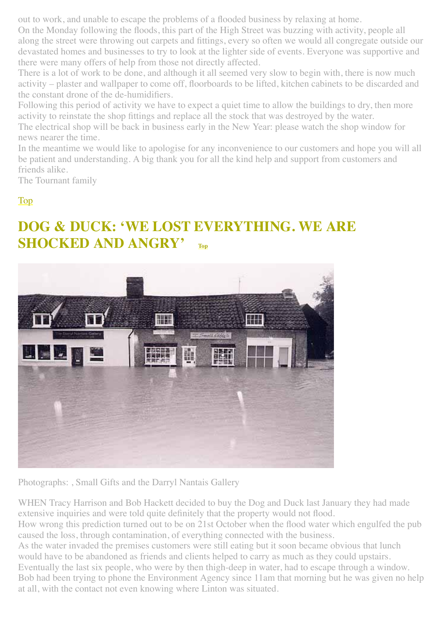out to work, and unable to escape the problems of a flooded business by relaxing at home.

On the Monday following the floods, this part of the High Street was buzzing with activity, people all along the street were throwing out carpets and fittings, every so often we would all congregate outside our devastated homes and businesses to try to look at the lighter side of events. Everyone was supportive and there were many offers of help from those not directly affected.

There is a lot of work to be done, and although it all seemed very slow to begin with, there is now much activity – plaster and wallpaper to come off, floorboards to be lifted, kitchen cabinets to be discarded and the constant drone of the de-humidifiers.

Following this period of activity we have to expect a quiet time to allow the buildings to dry, then more activity to reinstate the shop fittings and replace all the stock that was destroyed by the water. The electrical shop will be back in business early in the New Year: please watch the shop window for

news nearer the time.

In the meantime we would like to apologise for any inconvenience to our customers and hope you will all be patient and understanding. A big thank you for all the kind help and support from customers and friends alike.

The Tournant family

#### [Top](#page-0-1)

# <span id="page-10-0"></span>**DOG & DUCK: 'WE LOST EVERYTHING. WE ARE SHOCKED AND ANGRY'** [Top](#page-0-1)



Photographs: , Small Gifts and the Darryl Nantais Gallery

WHEN Tracy Harrison and Bob Hackett decided to buy the Dog and Duck last January they had made extensive inquiries and were told quite definitely that the property would not flood.

How wrong this prediction turned out to be on 21st October when the flood water which engulfed the pub caused the loss, through contamination, of everything connected with the business.

As the water invaded the premises customers were still eating but it soon became obvious that lunch would have to be abandoned as friends and clients helped to carry as much as they could upstairs.

Eventually the last six people, who were by then thigh-deep in water, had to escape through a window. Bob had been trying to phone the Environment Agency since 11am that morning but he was given no help at all, with the contact not even knowing where Linton was situated.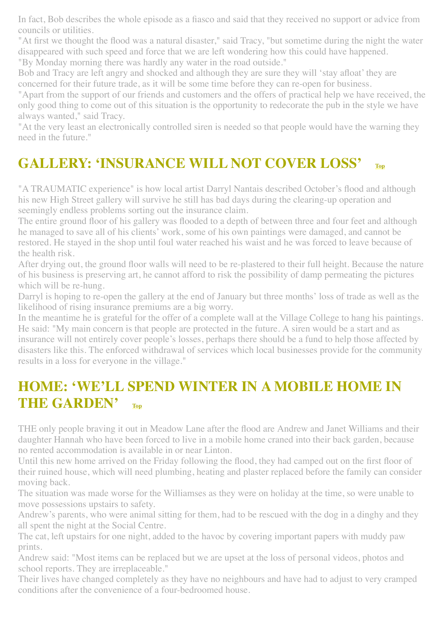In fact, Bob describes the whole episode as a fiasco and said that they received no support or advice from councils or utilities.

"At first we thought the flood was a natural disaster," said Tracy, "but sometime during the night the water disappeared with such speed and force that we are left wondering how this could have happened. "By Monday morning there was hardly any water in the road outside."

Bob and Tracy are left angry and shocked and although they are sure they will 'stay afloat' they are concerned for their future trade, as it will be some time before they can re-open for business.

"Apart from the support of our friends and customers and the offers of practical help we have received, the only good thing to come out of this situation is the opportunity to redecorate the pub in the style we have always wanted," said Tracy.

"At the very least an electronically controlled siren is needed so that people would have the warning they need in the future."

# <span id="page-11-0"></span>**GALLERY: 'INSURANCE WILL NOT COVER LOSS' [Top](#page-0-1)**

"A TRAUMATIC experience" is how local artist Darryl Nantais described October's flood and although his new High Street gallery will survive he still has bad days during the clearing-up operation and seemingly endless problems sorting out the insurance claim.

The entire ground floor of his gallery was flooded to a depth of between three and four feet and although he managed to save all of his clients' work, some of his own paintings were damaged, and cannot be restored. He stayed in the shop until foul water reached his waist and he was forced to leave because of the health risk.

After drying out, the ground floor walls will need to be re-plastered to their full height. Because the nature of his business is preserving art, he cannot afford to risk the possibility of damp permeating the pictures which will be re-hung.

Darryl is hoping to re-open the gallery at the end of January but three months' loss of trade as well as the likelihood of rising insurance premiums are a big worry.

In the meantime he is grateful for the offer of a complete wall at the Village College to hang his paintings. He said: "My main concern is that people are protected in the future. A siren would be a start and as insurance will not entirely cover people's losses, perhaps there should be a fund to help those affected by disasters like this. The enforced withdrawal of services which local businesses provide for the community results in a loss for everyone in the village."

## **HOME: 'WE'LL SPEND WINTER IN A MOBILE HOME IN THE GARDEN' [Top](#page-0-1)**

THE only people braving it out in Meadow Lane after the flood are Andrew and Janet Williams and their daughter Hannah who have been forced to live in a mobile home craned into their back garden, because no rented accommodation is available in or near Linton.

Until this new home arrived on the Friday following the flood, they had camped out on the first floor of their ruined house, which will need plumbing, heating and plaster replaced before the family can consider moving back.

The situation was made worse for the Williamses as they were on holiday at the time, so were unable to move possessions upstairs to safety.

Andrew's parents, who were animal sitting for them, had to be rescued with the dog in a dinghy and they all spent the night at the Social Centre.

The cat, left upstairs for one night, added to the havoc by covering important papers with muddy paw prints.

Andrew said: "Most items can be replaced but we are upset at the loss of personal videos, photos and school reports. They are irreplaceable."

Their lives have changed completely as they have no neighbours and have had to adjust to very cramped conditions after the convenience of a four-bedroomed house.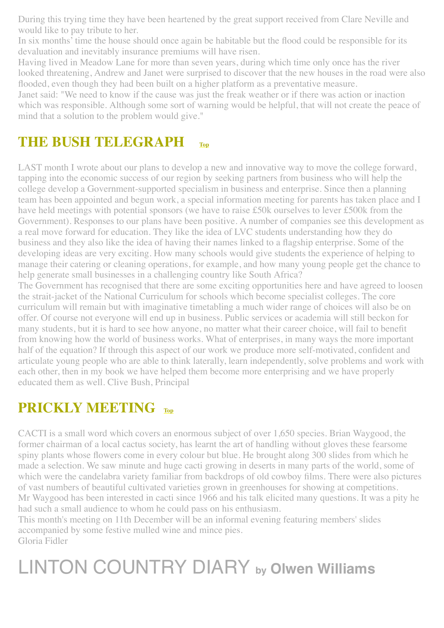During this trying time they have been heartened by the great support received from Clare Neville and would like to pay tribute to her.

In six months' time the house should once again be habitable but the flood could be responsible for its devaluation and inevitably insurance premiums will have risen.

Having lived in Meadow Lane for more than seven years, during which time only once has the river looked threatening, Andrew and Janet were surprised to discover that the new houses in the road were also flooded, even though they had been built on a higher platform as a preventative measure.

Janet said: "We need to know if the cause was just the freak weather or if there was action or inaction which was responsible. Although some sort of warning would be helpful, that will not create the peace of mind that a solution to the problem would give."

# <span id="page-12-0"></span>**THE BUSH TELEGRAPH [Top](#page-0-1)**

LAST month I wrote about our plans to develop a new and innovative way to move the college forward, tapping into the economic success of our region by seeking partners from business who will help the college develop a Government-supported specialism in business and enterprise. Since then a planning team has been appointed and begun work, a special information meeting for parents has taken place and I have held meetings with potential sponsors (we have to raise £50k ourselves to lever £500k from the Government). Responses to our plans have been positive. A number of companies see this development as a real move forward for education. They like the idea of LVC students understanding how they do business and they also like the idea of having their names linked to a flagship enterprise. Some of the developing ideas are very exciting. How many schools would give students the experience of helping to manage their catering or cleaning operations, for example, and how many young people get the chance to help generate small businesses in a challenging country like South Africa?

The Government has recognised that there are some exciting opportunities here and have agreed to loosen the strait-jacket of the National Curriculum for schools which become specialist colleges. The core curriculum will remain but with imaginative timetabling a much wider range of choices will also be on offer. Of course not everyone will end up in business. Public services or academia will still beckon for many students, but it is hard to see how anyone, no matter what their career choice, will fail to benefit from knowing how the world of business works. What of enterprises, in many ways the more important half of the equation? If through this aspect of our work we produce more self-motivated, confident and articulate young people who are able to think laterally, learn independently, solve problems and work with each other, then in my book we have helped them become more enterprising and we have properly educated them as well. Clive Bush, Principal

## <span id="page-12-1"></span>**PRICKLY MEETING** [Top](#page-0-1)

CACTI is a small word which covers an enormous subject of over 1,650 species. Brian Waygood, the former chairman of a local cactus society, has learnt the art of handling without gloves these fearsome spiny plants whose flowers come in every colour but blue. He brought along 300 slides from which he made a selection. We saw minute and huge cacti growing in deserts in many parts of the world, some of which were the candelabra variety familiar from backdrops of old cowboy films. There were also pictures of vast numbers of beautiful cultivated varieties grown in greenhouses for showing at competitions. Mr Waygood has been interested in cacti since 1966 and his talk elicited many questions. It was a pity he had such a small audience to whom he could pass on his enthusiasm.

This month's meeting on 11th December will be an informal evening featuring members' slides accompanied by some festive mulled wine and mince pies. Gloria Fidler

# <span id="page-12-2"></span>LINTON COUNTRY DIARY **by Olwen Williams**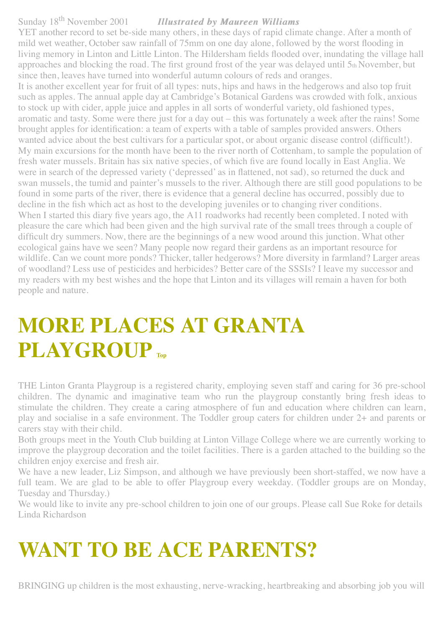#### Sunday 18th November 2001*Illustrated by Maureen Williams Illustrated by Maureen Williams*

YET another record to set be-side many others, in these days of rapid climate change. After a month of mild wet weather, October saw rainfall of 75mm on one day alone, followed by the worst flooding in living memory in Linton and Little Linton. The Hildersham fields flooded over, inundating the village hall approaches and blocking the road. The first ground frost of the year was delayed until 5th November, but since then, leaves have turned into wonderful autumn colours of reds and oranges.

It is another excellent year for fruit of all types: nuts, hips and haws in the hedgerows and also top fruit such as apples. The annual apple day at Cambridge's Botanical Gardens was crowded with folk, anxious to stock up with cider, apple juice and apples in all sorts of wonderful variety, old fashioned types, aromatic and tasty. Some were there just for a day out – this was fortunately a week after the rains! Some brought apples for identification: a team of experts with a table of samples provided answers. Others wanted advice about the best cultivars for a particular spot, or about organic disease control (difficult!). My main excursions for the month have been to the river north of Cottenham, to sample the population of fresh water mussels. Britain has six native species, of which five are found locally in East Anglia. We were in search of the depressed variety ('depressed' as in flattened, not sad), so returned the duck and swan mussels, the tumid and painter's mussels to the river. Although there are still good populations to be found in some parts of the river, there is evidence that a general decline has occurred, possibly due to decline in the fish which act as host to the developing juveniles or to changing river conditions. When I started this diary five years ago, the A11 roadworks had recently been completed. I noted with pleasure the care which had been given and the high survival rate of the small trees through a couple of difficult dry summers. Now, there are the beginnings of a new wood around this junction. What other ecological gains have we seen? Many people now regard their gardens as an important resource for wildlife. Can we count more ponds? Thicker, taller hedgerows? More diversity in farmland? Larger areas of woodland? Less use of pesticides and herbicides? Better care of the SSSIs? I leave my successor and my readers with my best wishes and the hope that Linton and its villages will remain a haven for both people and nature.

# <span id="page-13-0"></span>**MORE PLACES AT GRANTA PLAYGROUP [Top](#page-0-1)**

THE Linton Granta Playgroup is a registered charity, employing seven staff and caring for 36 pre-school children. The dynamic and imaginative team who run the playgroup constantly bring fresh ideas to stimulate the children. They create a caring atmosphere of fun and education where children can learn, play and socialise in a safe environment. The Toddler group caters for children under 2+ and parents or carers stay with their child.

Both groups meet in the Youth Club building at Linton Village College where we are currently working to improve the playgroup decoration and the toilet facilities. There is a garden attached to the building so the children enjoy exercise and fresh air.

We have a new leader, Liz Simpson, and although we have previously been short-staffed, we now have a full team. We are glad to be able to offer Playgroup every weekday. (Toddler groups are on Monday, Tuesday and Thursday.)

We would like to invite any pre-school children to join one of our groups. Please call Sue Roke for details Linda Richardson

# <span id="page-13-1"></span>**WANT TO BE ACE PARENTS?**

BRINGING up children is the most exhausting, nerve-wracking, heartbreaking and absorbing job you will